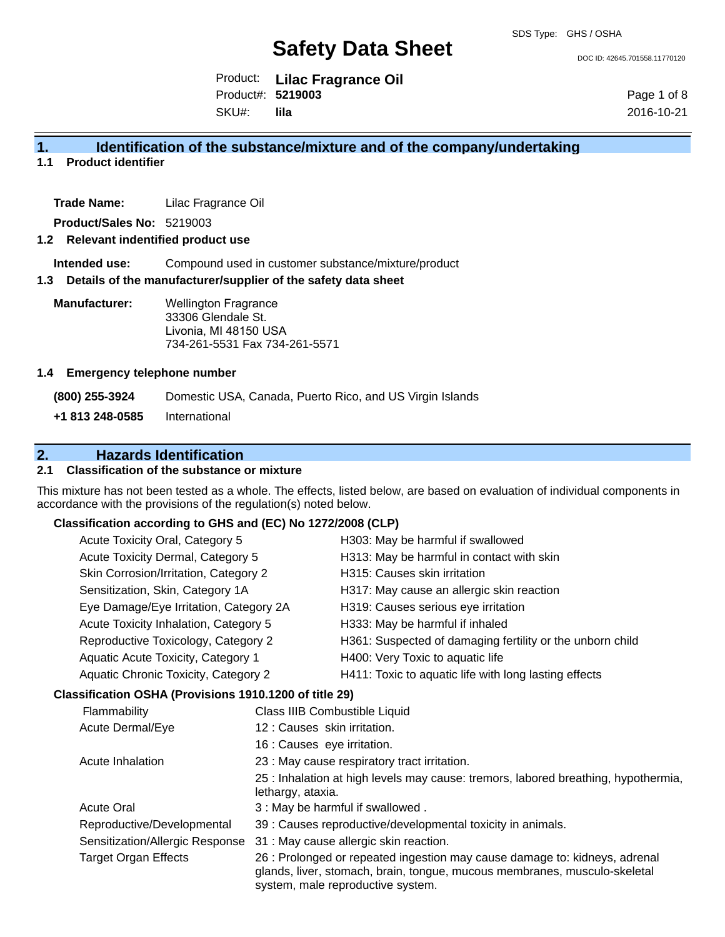DOC ID: 42645.701558.11770120

Product: **Lilac Fragrance Oil** SKU#: Product#: **5219003 lila**

Page 1 of 8 2016-10-21

## **1. Identification of the substance/mixture and of the company/undertaking**

**1.1 Product identifier**

**Trade Name:** Lilac Fragrance Oil

**Product/Sales No:** 5219003

#### **1.2 Relevant indentified product use**

**Intended use:** Compound used in customer substance/mixture/product

#### **1.3 Details of the manufacturer/supplier of the safety data sheet**

**Manufacturer:** Wellington Fragrance 33306 Glendale St. Livonia, MI 48150 USA 734-261-5531 Fax 734-261-5571

#### **1.4 Emergency telephone number**

**(800) 255-3924** Domestic USA, Canada, Puerto Rico, and US Virgin Islands

**+1 813 248-0585** International

# **2. Hazards Identification**

### **2.1 Classification of the substance or mixture**

This mixture has not been tested as a whole. The effects, listed below, are based on evaluation of individual components in accordance with the provisions of the regulation(s) noted below.

# **Classification according to GHS and (EC) No 1272/2008 (CLP)**

| Acute Toxicity Oral, Category 5        | H303: May be harmful if swallowed                         |
|----------------------------------------|-----------------------------------------------------------|
| Acute Toxicity Dermal, Category 5      | H313: May be harmful in contact with skin                 |
| Skin Corrosion/Irritation, Category 2  | H315: Causes skin irritation                              |
| Sensitization, Skin, Category 1A       | H317: May cause an allergic skin reaction                 |
| Eye Damage/Eye Irritation, Category 2A | H319: Causes serious eye irritation                       |
| Acute Toxicity Inhalation, Category 5  | H333: May be harmful if inhaled                           |
| Reproductive Toxicology, Category 2    | H361: Suspected of damaging fertility or the unborn child |
| Aquatic Acute Toxicity, Category 1     | H400: Very Toxic to aquatic life                          |
| Aquatic Chronic Toxicity, Category 2   | H411: Toxic to aquatic life with long lasting effects     |
| $\mathbf{A}$                           |                                                           |

#### **Classification OSHA (Provisions 1910.1200 of title 29)**

| Flammability                    | Class IIIB Combustible Liquid                                                                                                                                                                |
|---------------------------------|----------------------------------------------------------------------------------------------------------------------------------------------------------------------------------------------|
| Acute Dermal/Eye                | 12: Causes skin irritation.                                                                                                                                                                  |
|                                 | 16 : Causes eye irritation.                                                                                                                                                                  |
| Acute Inhalation                | 23 : May cause respiratory tract irritation.                                                                                                                                                 |
|                                 | 25 : Inhalation at high levels may cause: tremors, labored breathing, hypothermia,<br>lethargy, ataxia.                                                                                      |
| <b>Acute Oral</b>               | 3 : May be harmful if swallowed.                                                                                                                                                             |
| Reproductive/Developmental      | 39 : Causes reproductive/developmental toxicity in animals.                                                                                                                                  |
| Sensitization/Allergic Response | 31 : May cause allergic skin reaction.                                                                                                                                                       |
| <b>Target Organ Effects</b>     | 26 : Prolonged or repeated ingestion may cause damage to: kidneys, adrenal<br>glands, liver, stomach, brain, tongue, mucous membranes, musculo-skeletal<br>system, male reproductive system. |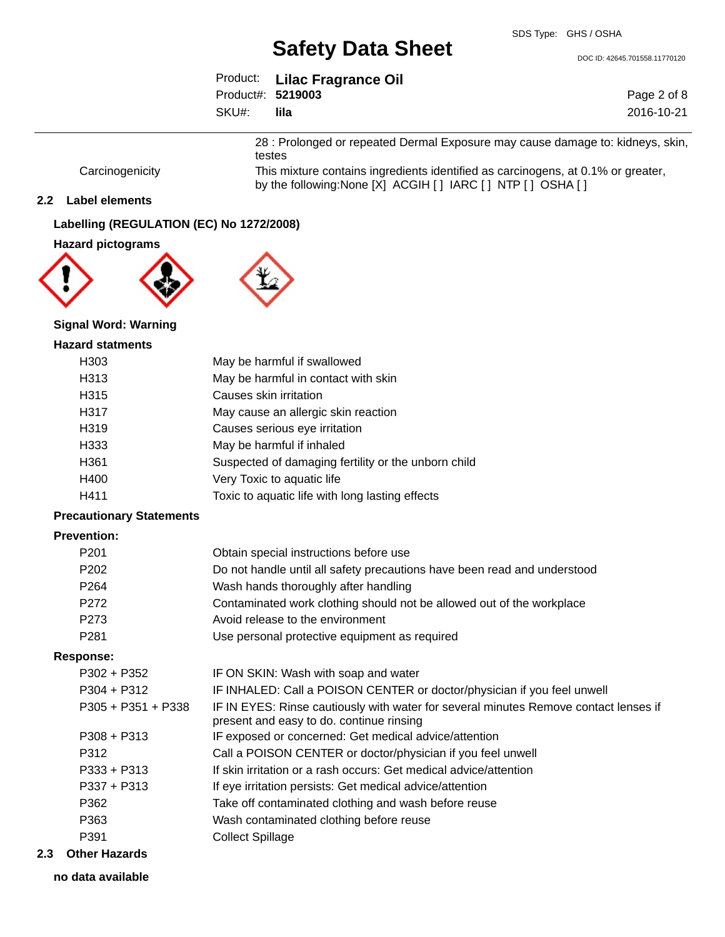DOC ID: 42645.701558.11770120

|                   | Product: Lilac Fragrance Oil |             |
|-------------------|------------------------------|-------------|
| Product#: 5219003 |                              | Page 2 of 8 |
| SKU#:             | lila                         | 2016-10-21  |

28 : Prolonged or repeated Dermal Exposure may cause damage to: kidneys, skin, testes

Carcinogenicity This mixture contains ingredients identified as carcinogens, at 0.1% or greater, by the following:None [X] ACGIH [] IARC [] NTP [] OSHA []

#### **2.2 Label elements**

### **Labelling (REGULATION (EC) No 1272/2008)**

#### **Hazard pictograms**



# **Signal Word: Warning**

# **Hazard statments**

| H <sub>303</sub> | May be harmful if swallowed                         |
|------------------|-----------------------------------------------------|
| H313             | May be harmful in contact with skin                 |
| H315             | Causes skin irritation                              |
| H317             | May cause an allergic skin reaction                 |
| H319             | Causes serious eye irritation                       |
| H333             | May be harmful if inhaled                           |
| H <sub>361</sub> | Suspected of damaging fertility or the unborn child |
| H400             | Very Toxic to aquatic life                          |
| H411             | Toxic to aquatic life with long lasting effects     |

#### **Precautionary Statements**

### **Prevention:**

| P <sub>201</sub> | Obtain special instructions before use                                   |
|------------------|--------------------------------------------------------------------------|
| P <sub>202</sub> | Do not handle until all safety precautions have been read and understood |
| P <sub>264</sub> | Wash hands thoroughly after handling                                     |
| P <sub>272</sub> | Contaminated work clothing should not be allowed out of the workplace    |
| P <sub>273</sub> | Avoid release to the environment                                         |
| P281             | Use personal protective equipment as required                            |

#### **Response:**

| $P302 + P352$        | IF ON SKIN: Wash with soap and water                                                                                             |
|----------------------|----------------------------------------------------------------------------------------------------------------------------------|
| $P304 + P312$        | IF INHALED: Call a POISON CENTER or doctor/physician if you feel unwell                                                          |
| $P305 + P351 + P338$ | IF IN EYES: Rinse cautiously with water for several minutes Remove contact lenses if<br>present and easy to do. continue rinsing |
| $P308 + P313$        | IF exposed or concerned: Get medical advice/attention                                                                            |
| P312                 | Call a POISON CENTER or doctor/physician if you feel unwell                                                                      |
| $P333 + P313$        | If skin irritation or a rash occurs: Get medical advice/attention                                                                |
| $P337 + P313$        | If eye irritation persists: Get medical advice/attention                                                                         |
| P362                 | Take off contaminated clothing and wash before reuse                                                                             |
| P363                 | Wash contaminated clothing before reuse                                                                                          |
| P391                 | <b>Collect Spillage</b>                                                                                                          |
|                      |                                                                                                                                  |

#### **2.3 Other Hazards**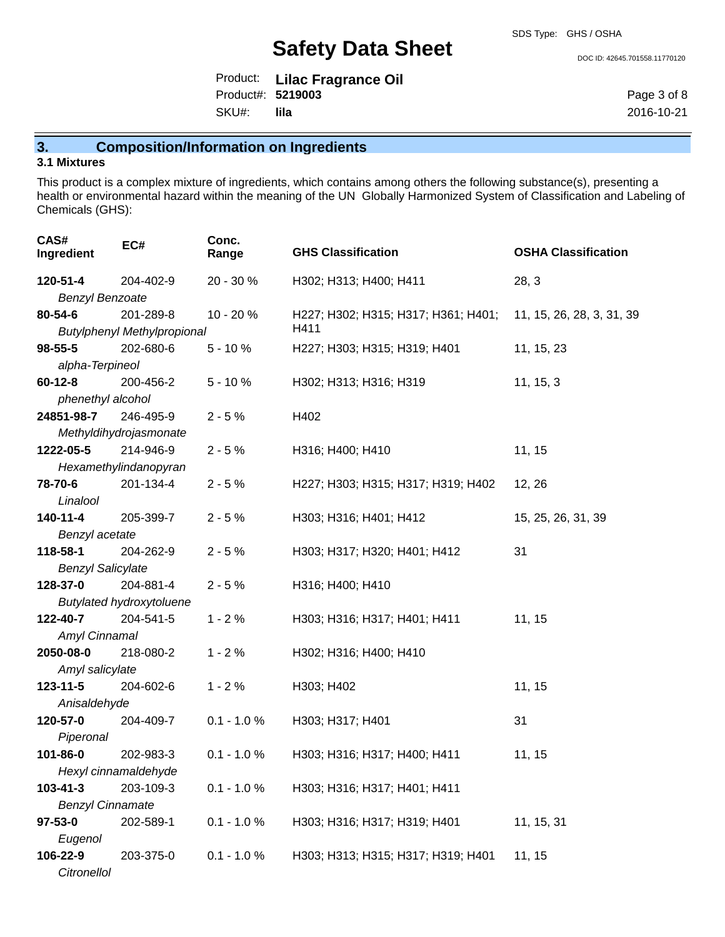DOC ID: 42645.701558.11770120

|                   | Product: Lilac Fragrance Oil |
|-------------------|------------------------------|
| Product#: 5219003 |                              |
| SKU#: lila        |                              |

Page 3 of 8 2016-10-21

**3. Composition/Information on Ingredients**

## **3.1 Mixtures**

This product is a complex mixture of ingredients, which contains among others the following substance(s), presenting a health or environmental hazard within the meaning of the UN Globally Harmonized System of Classification and Labeling of Chemicals (GHS):

| CAS#<br>Ingredient       | EC#                                | Conc.<br>Range | <b>GHS Classification</b>           | <b>OSHA Classification</b> |
|--------------------------|------------------------------------|----------------|-------------------------------------|----------------------------|
| 120-51-4                 | 204-402-9                          | 20 - 30 %      | H302; H313; H400; H411              | 28, 3                      |
| <b>Benzyl Benzoate</b>   |                                    |                |                                     |                            |
| 80-54-6                  | 201-289-8                          | 10 - 20 %      | H227; H302; H315; H317; H361; H401; | 11, 15, 26, 28, 3, 31, 39  |
|                          | <b>Butylphenyl Methylpropional</b> |                | H411                                |                            |
| $98 - 55 - 5$            | 202-680-6                          | $5 - 10%$      | H227; H303; H315; H319; H401        | 11, 15, 23                 |
| alpha-Terpineol          |                                    |                |                                     |                            |
| $60 - 12 - 8$            | 200-456-2                          | $5 - 10%$      | H302; H313; H316; H319              | 11, 15, 3                  |
| phenethyl alcohol        |                                    |                |                                     |                            |
| 24851-98-7               | 246-495-9                          | $2 - 5%$       | H402                                |                            |
|                          | Methyldihydrojasmonate             |                |                                     |                            |
| 1222-05-5                | 214-946-9                          | $2 - 5%$       | H316; H400; H410                    | 11, 15                     |
|                          | Hexamethylindanopyran              |                |                                     |                            |
| 78-70-6                  | 201-134-4                          | $2 - 5%$       | H227; H303; H315; H317; H319; H402  | 12, 26                     |
| Linalool                 |                                    |                |                                     |                            |
| 140-11-4                 | 205-399-7                          | $2 - 5%$       | H303; H316; H401; H412              | 15, 25, 26, 31, 39         |
| Benzyl acetate           |                                    |                |                                     |                            |
| 118-58-1                 | 204-262-9                          | $2 - 5%$       | H303; H317; H320; H401; H412        | 31                         |
| <b>Benzyl Salicylate</b> |                                    |                |                                     |                            |
| 128-37-0                 | 204-881-4                          | $2 - 5%$       | H316; H400; H410                    |                            |
|                          | <b>Butylated hydroxytoluene</b>    |                |                                     |                            |
| 122-40-7                 | 204-541-5                          | $1 - 2%$       | H303; H316; H317; H401; H411        | 11, 15                     |
| Amyl Cinnamal            |                                    |                |                                     |                            |
| 2050-08-0                | 218-080-2                          | $1 - 2%$       | H302; H316; H400; H410              |                            |
| Amyl salicylate          |                                    |                |                                     |                            |
| $123 - 11 - 5$           | 204-602-6                          | $1 - 2%$       | H303; H402                          | 11, 15                     |
| Anisaldehyde             |                                    |                |                                     |                            |
| 120-57-0                 | 204-409-7                          | $0.1 - 1.0 %$  | H303; H317; H401                    | 31                         |
| Piperonal                |                                    |                |                                     |                            |
| 101-86-0                 | 202-983-3                          | $0.1 - 1.0 %$  | H303; H316; H317; H400; H411        | 11, 15                     |
| Hexyl cinnamaldehyde     |                                    |                |                                     |                            |
| 103-41-3                 | 203-109-3                          | $0.1 - 1.0 %$  | H303; H316; H317; H401; H411        |                            |
| <b>Benzyl Cinnamate</b>  |                                    |                |                                     |                            |
| 97-53-0                  | 202-589-1                          | $0.1 - 1.0 %$  | H303; H316; H317; H319; H401        | 11, 15, 31                 |
| Eugenol                  |                                    |                |                                     |                            |
| 106-22-9                 | 203-375-0                          | $0.1 - 1.0 %$  | H303; H313; H315; H317; H319; H401  | 11, 15                     |
| Citronellol              |                                    |                |                                     |                            |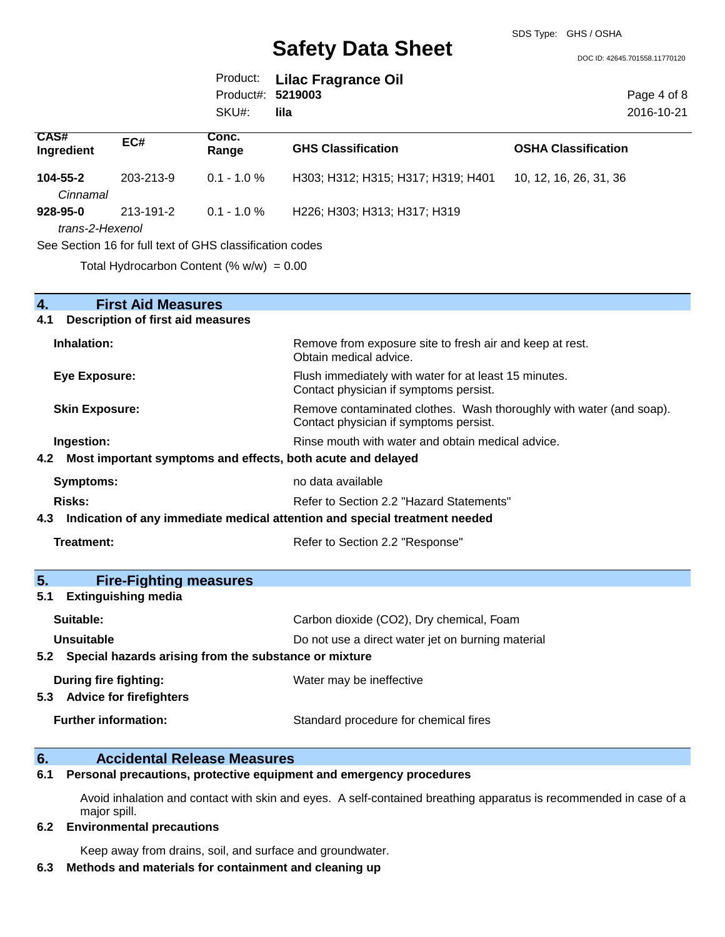DOC ID: 42645.701558.11770120

|                   | Product: Lilac Fragrance Oil |
|-------------------|------------------------------|
| Product#: 5219003 |                              |
| SKU#:             | lila                         |

Page 4 of 8 2016-10-21

| <b>CAS#</b><br>Ingredient | EC#       | Conc.<br>Range                                           | <b>GHS Classification</b>          | <b>OSHA Classification</b> |
|---------------------------|-----------|----------------------------------------------------------|------------------------------------|----------------------------|
| $104 - 55 - 2$            | 203-213-9 | $0.1 - 1.0 \%$                                           | H303; H312; H315; H317; H319; H401 | 10, 12, 16, 26, 31, 36     |
| Cinnamal                  |           |                                                          |                                    |                            |
| 928-95-0                  | 213-191-2 | $0.1$ - 1.0 $\%$                                         | H226; H303; H313; H317; H319       |                            |
| trans-2-Hexenol           |           |                                                          |                                    |                            |
|                           |           | See Section 16 for full text of GHS classification codes |                                    |                            |

Total Hydrocarbon Content (%  $w/w$ ) = 0.00

| 4.  | <b>First Aid Measures</b>                                                  |                                                                                                               |
|-----|----------------------------------------------------------------------------|---------------------------------------------------------------------------------------------------------------|
| 4.1 | <b>Description of first aid measures</b>                                   |                                                                                                               |
|     | Inhalation:                                                                | Remove from exposure site to fresh air and keep at rest.<br>Obtain medical advice.                            |
|     | <b>Eye Exposure:</b>                                                       | Flush immediately with water for at least 15 minutes.<br>Contact physician if symptoms persist.               |
|     | <b>Skin Exposure:</b>                                                      | Remove contaminated clothes. Wash thoroughly with water (and soap).<br>Contact physician if symptoms persist. |
|     | Ingestion:                                                                 | Rinse mouth with water and obtain medical advice.                                                             |
| 4.2 | Most important symptoms and effects, both acute and delayed                |                                                                                                               |
|     | <b>Symptoms:</b>                                                           | no data available                                                                                             |
|     | <b>Risks:</b>                                                              | Refer to Section 2.2 "Hazard Statements"                                                                      |
| 4.3 | Indication of any immediate medical attention and special treatment needed |                                                                                                               |
|     | <b>Treatment:</b>                                                          | Refer to Section 2.2 "Response"                                                                               |
| 5.  | <b>Fire-Fighting measures</b>                                              |                                                                                                               |
| 5.1 | <b>Extinguishing media</b>                                                 |                                                                                                               |
|     | Suitable:                                                                  | Carbon dioxide (CO2), Dry chemical, Foam                                                                      |
|     | Unsuitable                                                                 | Do not use a direct water jet on burning material                                                             |
| 5.2 | Special hazards arising from the substance or mixture                      |                                                                                                               |
|     | During fire fighting:                                                      | Water may be ineffective                                                                                      |
| 5.3 | <b>Advice for firefighters</b>                                             |                                                                                                               |
|     |                                                                            |                                                                                                               |

# **6. Accidental Release Measures**

**6.1 Personal precautions, protective equipment and emergency procedures**

Avoid inhalation and contact with skin and eyes. A self-contained breathing apparatus is recommended in case of a major spill.

#### **6.2 Environmental precautions**

Keep away from drains, soil, and surface and groundwater.

# **6.3 Methods and materials for containment and cleaning up**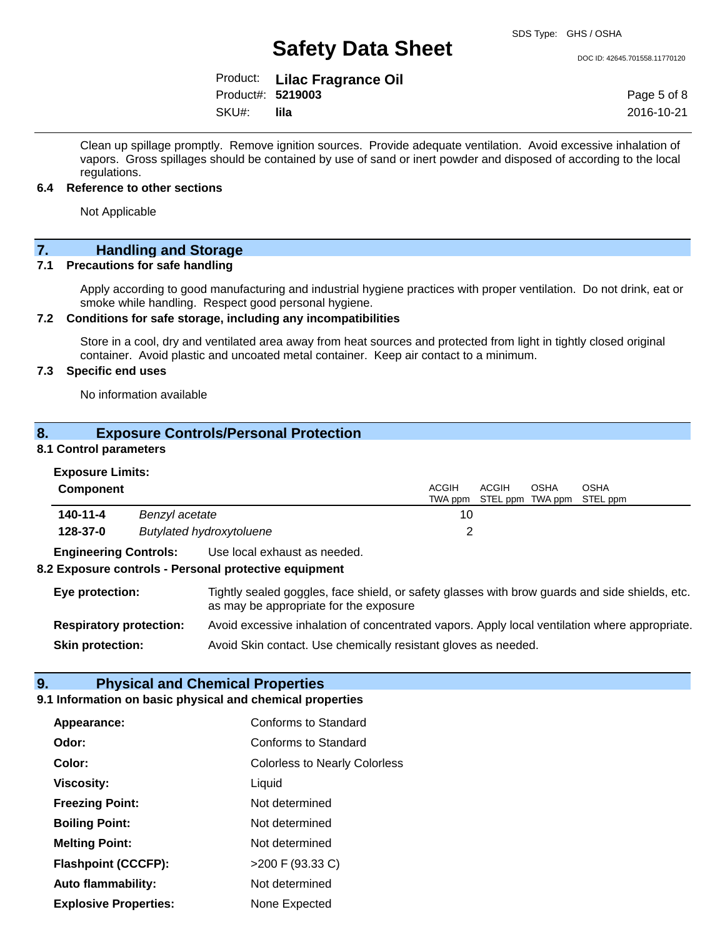SDS Type: GHS / OSHA

DOC ID: 42645.701558.11770120

|                   | Product: Lilac Fragrance Oil |
|-------------------|------------------------------|
| Product#: 5219003 |                              |
| SKU#:             | lila                         |

Page 5 of 8 2016-10-21

Clean up spillage promptly. Remove ignition sources. Provide adequate ventilation. Avoid excessive inhalation of vapors. Gross spillages should be contained by use of sand or inert powder and disposed of according to the local regulations.

#### **6.4 Reference to other sections**

Not Applicable

# **7. Handling and Storage**

#### **7.1 Precautions for safe handling**

Apply according to good manufacturing and industrial hygiene practices with proper ventilation. Do not drink, eat or smoke while handling. Respect good personal hygiene.

### **7.2 Conditions for safe storage, including any incompatibilities**

Store in a cool, dry and ventilated area away from heat sources and protected from light in tightly closed original container. Avoid plastic and uncoated metal container. Keep air contact to a minimum.

## **7.3 Specific end uses**

No information available

## **8. Exposure Controls/Personal Protection**

#### **8.1 Control parameters**

| <b>Exposure Limits:</b> |  |
|-------------------------|--|
| $\sim$ $\sim$ $\sim$    |  |

| <b>Component</b>                                                                                                                                            |                                                                                                                                 |                                                       | ACGIH | ACGIH | OSHA | OSHA                              |
|-------------------------------------------------------------------------------------------------------------------------------------------------------------|---------------------------------------------------------------------------------------------------------------------------------|-------------------------------------------------------|-------|-------|------|-----------------------------------|
|                                                                                                                                                             |                                                                                                                                 |                                                       |       |       |      | TWA ppm STEL ppm TWA ppm STEL ppm |
| 140-11-4                                                                                                                                                    | Benzyl acetate                                                                                                                  |                                                       | 10    |       |      |                                   |
| 128-37-0                                                                                                                                                    |                                                                                                                                 | <b>Butylated hydroxytoluene</b>                       | 2     |       |      |                                   |
| <b>Engineering Controls:</b>                                                                                                                                |                                                                                                                                 | Use local exhaust as needed.                          |       |       |      |                                   |
|                                                                                                                                                             |                                                                                                                                 | 8.2 Exposure controls - Personal protective equipment |       |       |      |                                   |
| Tightly sealed goggles, face shield, or safety glasses with brow guards and side shields, etc.<br>Eye protection:<br>as may be appropriate for the exposure |                                                                                                                                 |                                                       |       |       |      |                                   |
|                                                                                                                                                             | <b>Respiratory protection:</b><br>Avoid excessive inhalation of concentrated vapors. Apply local ventilation where appropriate. |                                                       |       |       |      |                                   |
| Avoid Skin contact. Use chemically resistant gloves as needed.<br><b>Skin protection:</b>                                                                   |                                                                                                                                 |                                                       |       |       |      |                                   |

ACGIH

OSH<sub>A</sub>

OSHA

## **9. Physical and Chemical Properties**

# **9.1 Information on basic physical and chemical properties**

| Appearance:                  | Conforms to Standard                 |
|------------------------------|--------------------------------------|
| Odor:                        | Conforms to Standard                 |
| Color:                       | <b>Colorless to Nearly Colorless</b> |
| <b>Viscosity:</b>            | Liquid                               |
| <b>Freezing Point:</b>       | Not determined                       |
| <b>Boiling Point:</b>        | Not determined                       |
| <b>Melting Point:</b>        | Not determined                       |
| <b>Flashpoint (CCCFP):</b>   | >200 F (93.33 C)                     |
| <b>Auto flammability:</b>    | Not determined                       |
| <b>Explosive Properties:</b> | None Expected                        |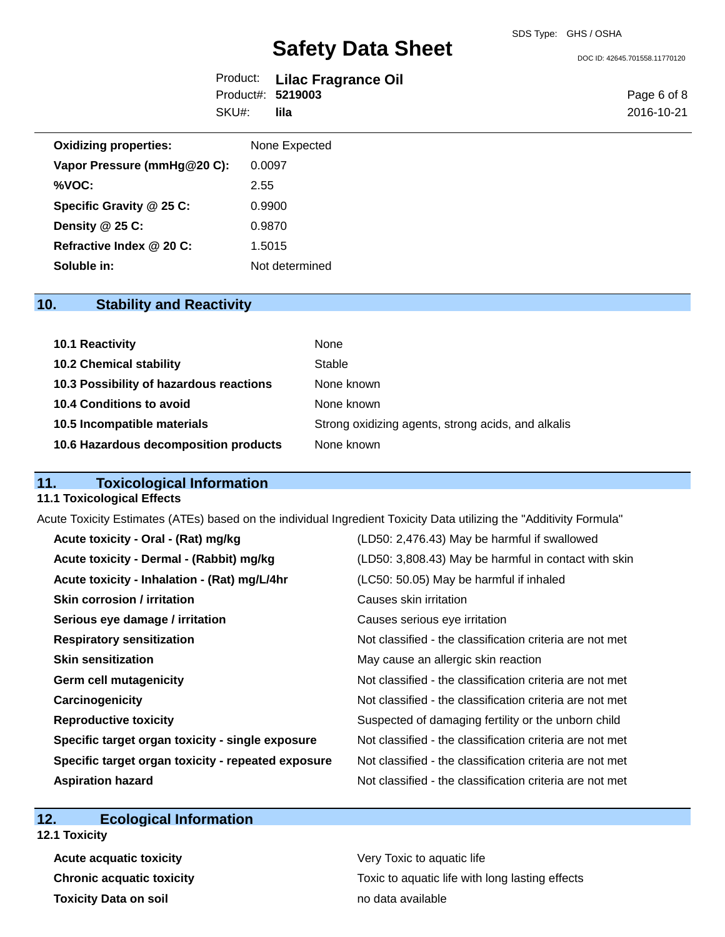DOC ID: 42645.701558.11770120

|                   | Product: Lilac Fragrance Oil |
|-------------------|------------------------------|
| Product#: 5219003 |                              |
| SKU#: lila        |                              |

Page 6 of 8 2016-10-21

| <b>Oxidizing properties:</b> | None Expected  |
|------------------------------|----------------|
| Vapor Pressure (mmHg@20 C):  | 0.0097         |
| %VOC:                        | 2.55           |
| Specific Gravity @ 25 C:     | 0.9900         |
| Density $@25C$ :             | 0.9870         |
| Refractive Index @ 20 C:     | 1.5015         |
| Soluble in:                  | Not determined |

# **10. Stability and Reactivity**

| 10.1 Reactivity                         | None                                               |
|-----------------------------------------|----------------------------------------------------|
| <b>10.2 Chemical stability</b>          | Stable                                             |
| 10.3 Possibility of hazardous reactions | None known                                         |
| 10.4 Conditions to avoid                | None known                                         |
| 10.5 Incompatible materials             | Strong oxidizing agents, strong acids, and alkalis |
| 10.6 Hazardous decomposition products   | None known                                         |

# **11. Toxicological Information**

#### **11.1 Toxicological Effects**

Acute Toxicity Estimates (ATEs) based on the individual Ingredient Toxicity Data utilizing the "Additivity Formula"

| Acute toxicity - Oral - (Rat) mg/kg                | (LD50: 2,476.43) May be harmful if swallowed             |
|----------------------------------------------------|----------------------------------------------------------|
| Acute toxicity - Dermal - (Rabbit) mg/kg           | (LD50: 3,808.43) May be harmful in contact with skin     |
| Acute toxicity - Inhalation - (Rat) mg/L/4hr       | (LC50: 50.05) May be harmful if inhaled                  |
| <b>Skin corrosion / irritation</b>                 | Causes skin irritation                                   |
| Serious eye damage / irritation                    | Causes serious eye irritation                            |
| <b>Respiratory sensitization</b>                   | Not classified - the classification criteria are not met |
| <b>Skin sensitization</b>                          | May cause an allergic skin reaction                      |
| <b>Germ cell mutagenicity</b>                      | Not classified - the classification criteria are not met |
| Carcinogenicity                                    | Not classified - the classification criteria are not met |
| <b>Reproductive toxicity</b>                       | Suspected of damaging fertility or the unborn child      |
| Specific target organ toxicity - single exposure   | Not classified - the classification criteria are not met |
| Specific target organ toxicity - repeated exposure | Not classified - the classification criteria are not met |
| <b>Aspiration hazard</b>                           | Not classified - the classification criteria are not met |

# **12. Ecological Information**

**12.1 Toxicity**

**Acute acquatic toxicity Very Toxic to aquatic life Toxicity Data on soil no data available no data available** 

**Chronic acquatic toxicity Toxic to aquatic life with long lasting effects**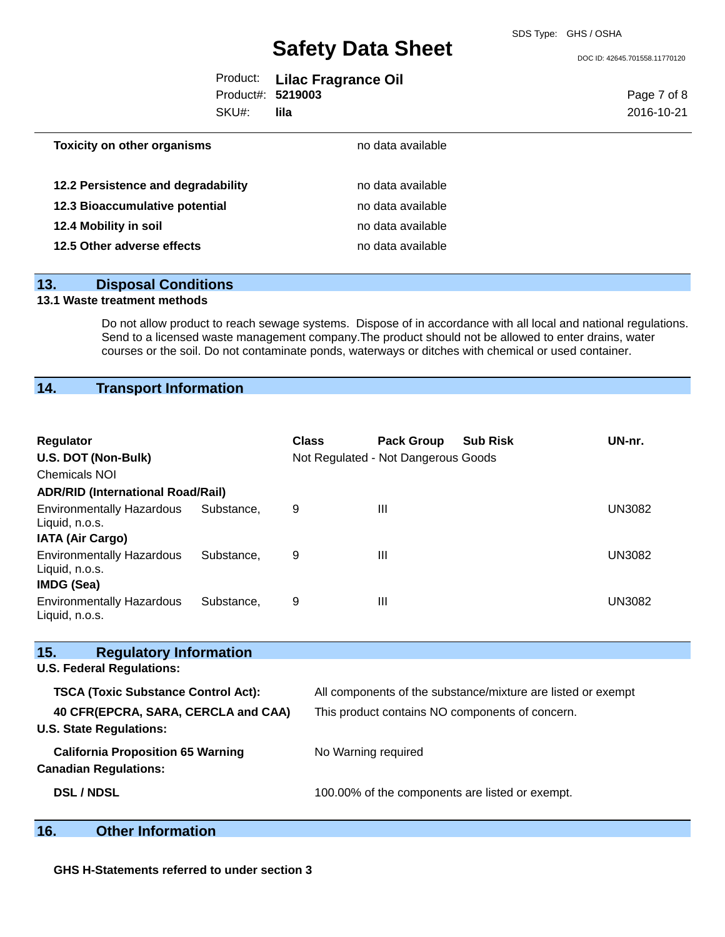DOC ID: 42645.701558.11770120

|                   | Product: Lilac Fragrance Oil |
|-------------------|------------------------------|
| Product#: 5219003 |                              |
| SKU#:             | lila                         |

Page 7 of 8 2016-10-21

| <b>Toxicity on other organisms</b> | no data available |  |
|------------------------------------|-------------------|--|
|                                    |                   |  |
| 12.2 Persistence and degradability | no data available |  |
| 12.3 Bioaccumulative potential     | no data available |  |
| 12.4 Mobility in soil              | no data available |  |
| 12.5 Other adverse effects         | no data available |  |

# **13. Disposal Conditions**

#### **13.1 Waste treatment methods**

Do not allow product to reach sewage systems. Dispose of in accordance with all local and national regulations. Send to a licensed waste management company.The product should not be allowed to enter drains, water courses or the soil. Do not contaminate ponds, waterways or ditches with chemical or used container.

# **14. Transport Information**

| Regulator<br>U.S. DOT (Non-Bulk)<br>Chemicals NOI                            |            | <b>Class</b>                                    | <b>Pack Group</b><br>Not Regulated - Not Dangerous Goods | <b>Sub Risk</b>                                              | UN-nr.        |
|------------------------------------------------------------------------------|------------|-------------------------------------------------|----------------------------------------------------------|--------------------------------------------------------------|---------------|
| <b>ADR/RID (International Road/Rail)</b><br><b>Environmentally Hazardous</b> | Substance, | 9                                               | $\mathbf{III}$                                           |                                                              | <b>UN3082</b> |
| Liquid, n.o.s.<br><b>IATA (Air Cargo)</b>                                    |            |                                                 |                                                          |                                                              |               |
| <b>Environmentally Hazardous</b><br>Liquid, n.o.s.<br>IMDG (Sea)             | Substance. | 9                                               | $\mathbf{III}$                                           |                                                              | <b>UN3082</b> |
| <b>Environmentally Hazardous</b><br>Liquid, n.o.s.                           | Substance. | 9                                               | $\mathbf{III}$                                           |                                                              | <b>UN3082</b> |
| 15.<br><b>Regulatory Information</b>                                         |            |                                                 |                                                          |                                                              |               |
| <b>U.S. Federal Regulations:</b>                                             |            |                                                 |                                                          |                                                              |               |
| <b>TSCA (Toxic Substance Control Act):</b>                                   |            |                                                 |                                                          | All components of the substance/mixture are listed or exempt |               |
| 40 CFR(EPCRA, SARA, CERCLA and CAA)<br><b>U.S. State Regulations:</b>        |            | This product contains NO components of concern. |                                                          |                                                              |               |
| <b>California Proposition 65 Warning</b><br><b>Canadian Regulations:</b>     |            |                                                 | No Warning required                                      |                                                              |               |
| <b>DSL / NDSL</b>                                                            |            |                                                 | 100.00% of the components are listed or exempt.          |                                                              |               |

# **16. Other Information**